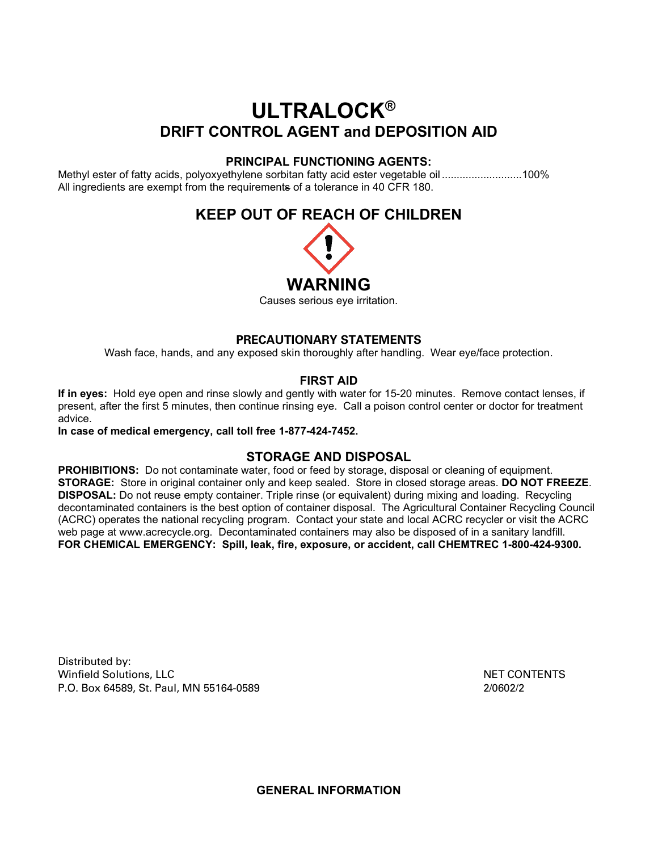# **ULTRALOCK® DRIFT CONTROL AGENT and DEPOSITION AID**

## **PRINCIPAL FUNCTIONING AGENTS:**

Methyl ester of fatty acids, polyoxyethylene sorbitan fatty acid ester vegetable oil ...........................100% All ingredients are exempt from the requirements of a tolerance in 40 CFR 180.

## **KEEP OUT OF REACH OF CHILDREN**



Causes serious eye irritation.

## **PRECAUTIONARY STATEMENTS**

Wash face, hands, and any exposed skin thoroughly after handling. Wear eye/face protection.

## **FIRST AID**

**If in eyes:** Hold eye open and rinse slowly and gently with water for 15-20 minutes. Remove contact lenses, if present, after the first 5 minutes, then continue rinsing eye. Call a poison control center or doctor for treatment advice.

**In case of medical emergency, call toll free 1-877-424-7452.**

## **STORAGE AND DISPOSAL**

**PROHIBITIONS:** Do not contaminate water, food or feed by storage, disposal or cleaning of equipment. **STORAGE:** Store in original container only and keep sealed. Store in closed storage areas. **DO NOT FREEZE**. **DISPOSAL:** Do not reuse empty container. Triple rinse (or equivalent) during mixing and loading. Recycling decontaminated containers is the best option of container disposal. The Agricultural Container Recycling Council (ACRC) operates the national recycling program. Contact your state and local ACRC recycler or visit the ACRC web page at [www.acrecycle.org.](http://www.acrecycle.org/) Decontaminated containers may also be disposed of in a sanitary landfill. **FOR CHEMICAL EMERGENCY: Spill, leak, fire, exposure, or accident, call CHEMTREC 1-800-424-9300.**

Distributed by: Winfield Solutions, LLC NET CONTENTS P.O. Box 64589, St. Paul, MN 55164-0589 2/0602/2

**GENERAL INFORMATION**